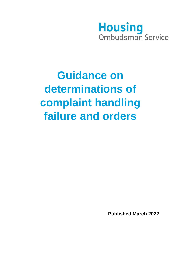## **Housing** Ombudsman Service

# **Guidance on determinations of complaint handling failure and orders**

**Published March 2022**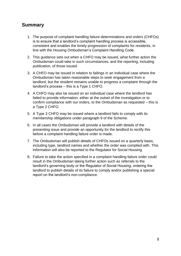### **Summary**

- 1. The purpose of complaint handling failure determinations and orders (CHFOs) is to ensure that a landlord's complaint handling process is accessible, consistent and enables the timely progression of complaints for residents, in line with the Housing Ombudsman's Complaint Handling Code.
- 2. This guidance sets out when a CHFO may be issued, what further action the Ombudsman could take in such circumstances, and the reporting, including publication, of those issued.
- 3. A CHFO may be issued in relation to failings in an individual case where the Ombudsman has taken reasonable steps to seek engagement from a landlord, but the resident remains unable to progress a complaint through the landlord's process – this is a Type 1 CHFO.
- 4. A CHFO may also be issued on an individual case where the landlord has failed to provide information, either at the outset of the investigation or to confirm compliance with our orders, to the Ombudsman as requested – this is a Type 2 CHFO.
- 5. A Type 3 CHFO may be issued where a landlord fails to comply with its membership obligations under paragraph 9 of the Scheme.
- 6. In all cases the Ombudsman will provide a landlord with details of the presenting issue and provide an opportunity for the landlord to rectify this before a complaint handling failure order is made.
- 7. The Ombudsman will publish details of CHFOs issued on a quarterly basis, including type, landlord names and whether the order was complied with. This information will also be reported to the Regulator for Social Housing.
- 8. Failure to take the action specified in a complaint handling failure order could result in the Ombudsman taking further action such as referrals to the landlord's governing body or the Regulator of Social Housing, ordering the landlord to publish details of its failure to comply and/or publishing a special report on the landlord's non-compliance.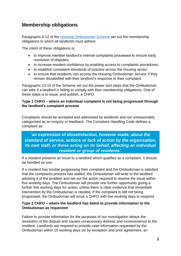## **Membership obligations**

Paragraphs 9-12 of the [Housing Ombudsman Scheme](https://www.housing-ombudsman.org.uk/wp-content/uploads/2020/11/Housing-Ombudsman-Scheme-Sept-2020-edited-by-BM.pdf) set out the membership obligations to which all landlords must adhere.

The intent of these obligations is:

- to improve member landlord's internal complaints processes to ensure early resolution of disputes;
- to increase resident confidence by enabling access to complaints procedures;
- to establish consistent standards of practice across the housing sector;
- to ensure that residents can access the Housing Ombudsman Service if they remain dissatisfied with their landlord's response to their complaint.

Paragraphs 13-15 of the Scheme set out the power and steps that the Ombudsman can take if a landlord is failing to comply with their membership obligations. One of these steps is to issue, and publish, a CHFO.

#### **Type 1 CHFO – where an individual complaint is not being progressed through the landlord's complaint process**

Complaints should be accepted and addressed by landlords and not unreasonably categorised as an enquiry or feedback. The Complaint Handling Code defines a complaint as:

*'an expression of dissatisfaction, however made, about the standard of service, actions or lack of action by the organisation, its own staff, or those acting on its behalf, affecting an individual resident or group of residents'.*

If a resident presents an issue to a landlord which qualifies as a complaint, it should be handled as one.

If a resident has trouble progressing their complaint and the Ombudsman is satisfied that the complaints process has stalled, the Ombudsman will write to the landlord advising it of the problem and set out the action required to resolve the issue within five working days. The Ombudsman will provide one further opportunity giving a further five working days for action, unless there is clear evidence that immediate intervention by the Ombudsman is needed. If the complaint is still not being progressed, the Ombudsman will issue a CHFO with five working days to respond.

#### **Type 2 CHFO – where the landlord has failed to provide information to the Ombudsman as requested**

Failure to provide information for the purposes of our investigation delays the resolution of the dispute and causes unnecessary distress and inconvenience to the resident. Landlords are required to provide case information requested by the Ombudsman within 15 working days (or by exception and prior agreement, an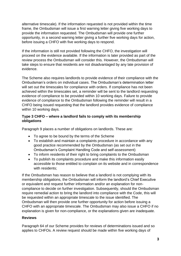alternative timescale). If the information requested is not provided within the time frame, the Ombudsman will issue a first warning letter giving five working days to provide the information requested. The Ombudsman will provide one further opportunity, in a second warning letter giving a further five working days for action, before issuing a CHFO with five working days to respond.

If the information is still not provided following the CHFO, the investigation will proceed on the evidence available. If the information is later provided as part of the review process the Ombudsman will consider this. However, the Ombudsman will take steps to ensure that residents are not disadvantaged by any late provision of evidence.

The Scheme also requires landlords to provide evidence of their compliance with the Ombudsman's orders on individual cases. The Ombudsman's determination letter will set out the timescales for compliance with orders. If compliance has not been achieved within the timescales set, a reminder will be sent to the landlord requesting evidence of compliance to be provided within 10 working days. Failure to provide evidence of compliance to the Ombudsman following the reminder will result in a CHFO being issued requesting that the landlord provides evidence of compliance within 10 working days.

#### **Type 3 CHFO – where a landlord fails to comply with its membership obligations**

Paragraph 9 places a number of obligations on landlords. These are:

- To agree to be bound by the terms of the Scheme
- To establish and maintain a complaints procedure in accordance with any good practice recommended by the Ombudsman (as set out in the Ombudsman's Complaint Handling Code and self-assessment)
- To inform residents of their right to bring complaints to the Ombudsman
- To publish its complaints procedure and make this information easily accessible to those entitled to complain on its website and in correspondence with residents:

If the Ombudsman has reason to believe that a landlord is not complying with its membership obligations, the Ombudsman will inform the landlord's Chief Executive or equivalent and request further information and/or an explanation for noncompliance to decide on further investigation. Subsequently, should the Ombudsman require remedial action to bring the landlord into compliance with the Code, this will be requested within an appropriate timescale to the issue identified. The Ombudsman will then provide one further opportunity for action before issuing a CHFO with an appropriate timescale. The Ombudsman may also issue a CHFO if no explanation is given for non-compliance, or the explanations given are inadequate.

#### **Reviews**

Paragraph 64 of our Scheme provides for reviews of determinations issued and so applies to CHFOs. A review request should be made within five working days of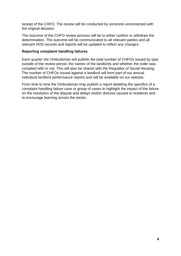receipt of the CHFO. The review will be conducted by someone unconnected with the original decision.

The outcome of the CHFO review process will be to either confirm or withdraw the determination. The outcome will be communicated to all relevant parties and all relevant HOS records and reports will be updated to reflect any changes.

#### **Reporting complaint handling failures**

Each quarter the Ombudsman will publish the total number of CHFOs issued by type outside of the review period, the names of the landlords and whether the order was complied with or not. This will also be shared with the Regulator of Social Housing. The number of CHFOs issued against a landlord will form part of our annual individual landlord performance reports and will be available on our website.

From time to time the Ombudsman may publish a report detailing the specifics of a complaint handling failure case or group of cases to highlight the impact of the failure on the resolution of the dispute and delays and/or distress caused to residents and to encourage learning across the sector.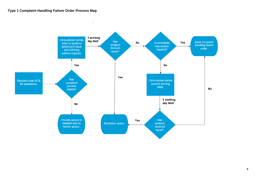## **Type 1 Complaint Handling Failure Order Process Map**

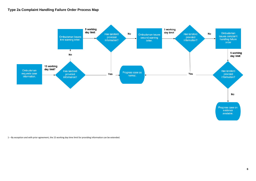## **Type 2a Complaint Handling Failure Order Process Map**



– By exception and with prior agreement, the 15 working day time limit for providing information can be extended.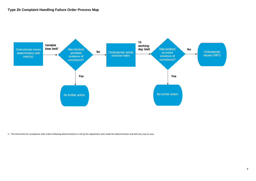## **Type 2b Complaint Handling Failure Order Process Map**



– The time limits for compliance with orders following determinations is set by the adjudicator who made the determination and will vary case to case.